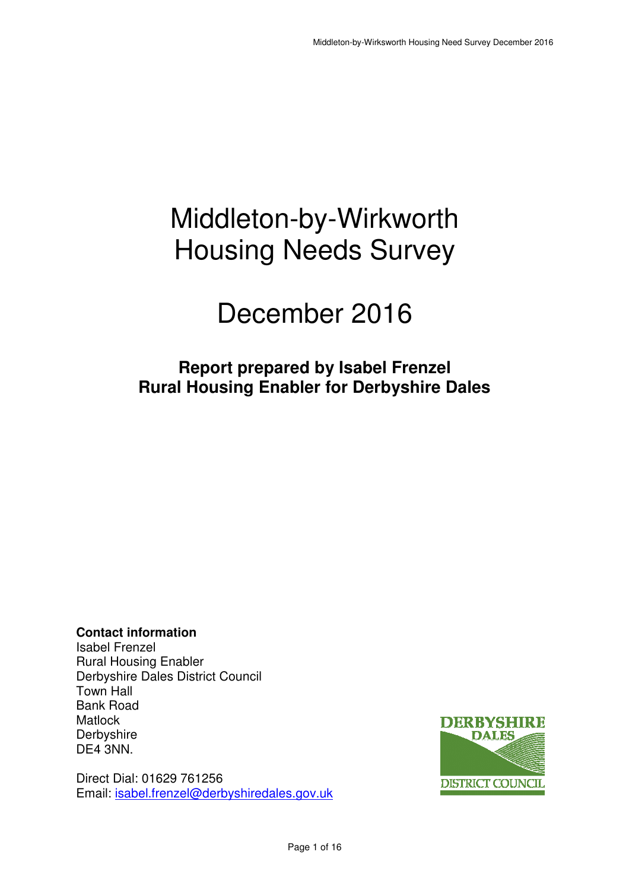# Middleton-by-Wirkworth Housing Needs Survey

# December 2016

# **Report prepared by Isabel Frenzel Rural Housing Enabler for Derbyshire Dales**

**Contact information**  Isabel Frenzel Rural Housing Enabler Derbyshire Dales District Council Town Hall Bank Road **Matlock Derbyshire** DE4 3NN.

Direct Dial: 01629 761256 Email: isabel.frenzel@derbyshiredales.gov.uk

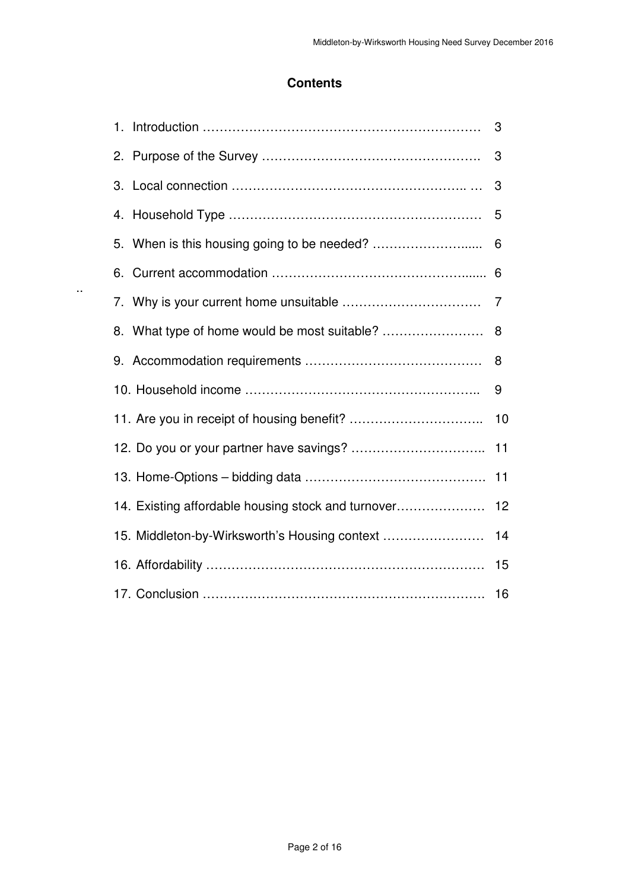# **Contents**

|                                                    | 3  |
|----------------------------------------------------|----|
| 2.                                                 | 3  |
|                                                    | 3  |
|                                                    | 5  |
|                                                    | 6  |
| 6.                                                 | 6  |
|                                                    | 7  |
| 8. What type of home would be most suitable?       | 8  |
| 9.                                                 | 8  |
|                                                    | 9  |
|                                                    | 10 |
|                                                    | 11 |
|                                                    | 11 |
| 14. Existing affordable housing stock and turnover | 12 |
| 15. Middleton-by-Wirksworth's Housing context      | 14 |
|                                                    | 15 |
|                                                    | 16 |

..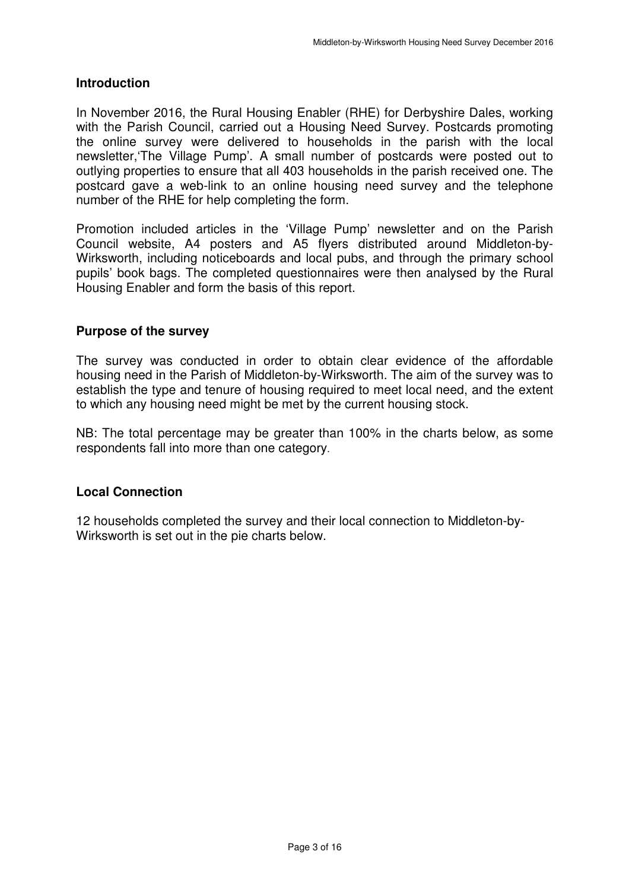#### **Introduction**

 In November 2016, the Rural Housing Enabler (RHE) for Derbyshire Dales, working with the Parish Council, carried out a Housing Need Survey. Postcards promoting the online survey were delivered to households in the parish with the local newsletter,'The Village Pump'. A small number of postcards were posted out to outlying properties to ensure that all 403 households in the parish received one. The postcard gave a web-link to an online housing need survey and the telephone number of the RHE for help completing the form.

 Promotion included articles in the 'Village Pump' newsletter and on the Parish Council website, A4 posters and A5 flyers distributed around Middleton-by- Wirksworth, including noticeboards and local pubs, and through the primary school pupils' book bags. The completed questionnaires were then analysed by the Rural Housing Enabler and form the basis of this report.

#### **Purpose of the survey**

 The survey was conducted in order to obtain clear evidence of the affordable housing need in the Parish of Middleton-by-Wirksworth. The aim of the survey was to establish the type and tenure of housing required to meet local need, and the extent to which any housing need might be met by the current housing stock.

 NB: The total percentage may be greater than 100% in the charts below, as some respondents fall into more than one category.

#### **Local Connection**

 12 households completed the survey and their local connection to Middleton-by-Wirksworth is set out in the pie charts below.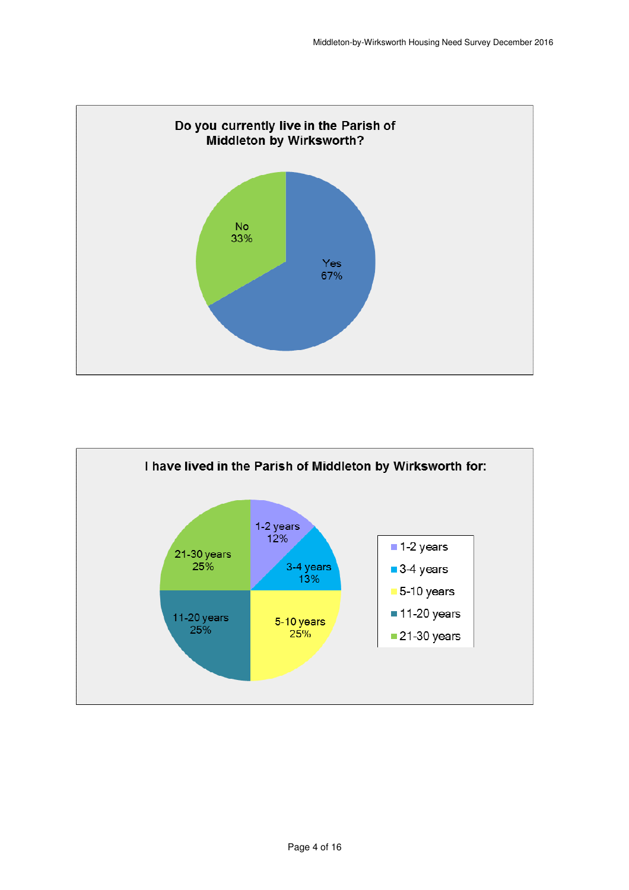

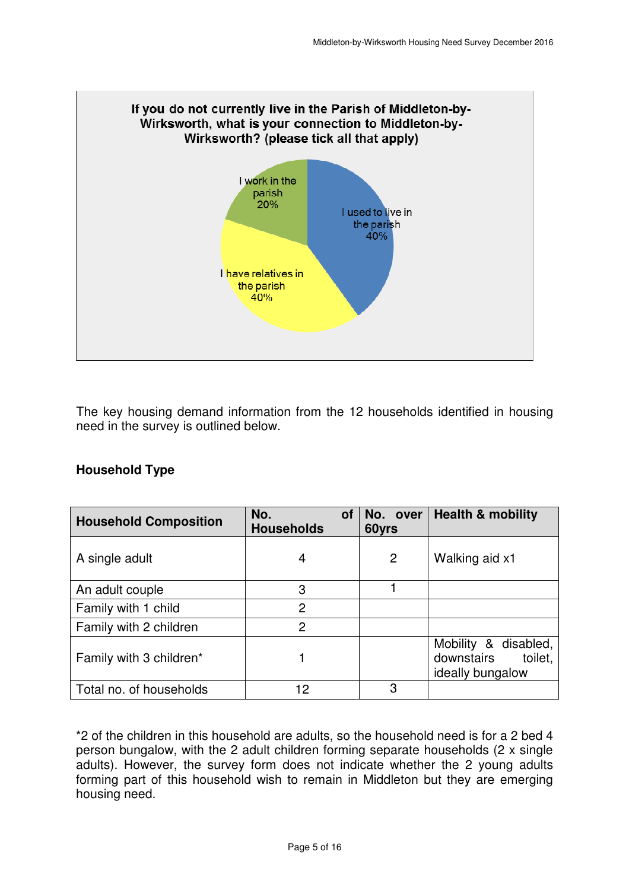

 The key housing demand information from the 12 households identified in housing need in the survey is outlined below.

| <b>Household Type</b> |  |
|-----------------------|--|
|-----------------------|--|

| <b>Household Composition</b> | No.<br><b>of</b><br><b>Households</b> | No. over<br>60yrs | <b>Health &amp; mobility</b>                                      |
|------------------------------|---------------------------------------|-------------------|-------------------------------------------------------------------|
| A single adult               | 4                                     | 2                 | Walking aid x1                                                    |
| An adult couple              | 3                                     |                   |                                                                   |
| Family with 1 child          | 2                                     |                   |                                                                   |
| Family with 2 children       | 2                                     |                   |                                                                   |
| Family with 3 children*      |                                       |                   | Mobility & disabled,<br>downstairs<br>toilet,<br>ideally bungalow |
| Total no. of households      | 12                                    | 3                 |                                                                   |

 \*2 of the children in this household are adults, so the household need is for a 2 bed 4 person bungalow, with the 2 adult children forming separate households (2 x single adults). However, the survey form does not indicate whether the 2 young adults forming part of this household wish to remain in Middleton but they are emerging housing need.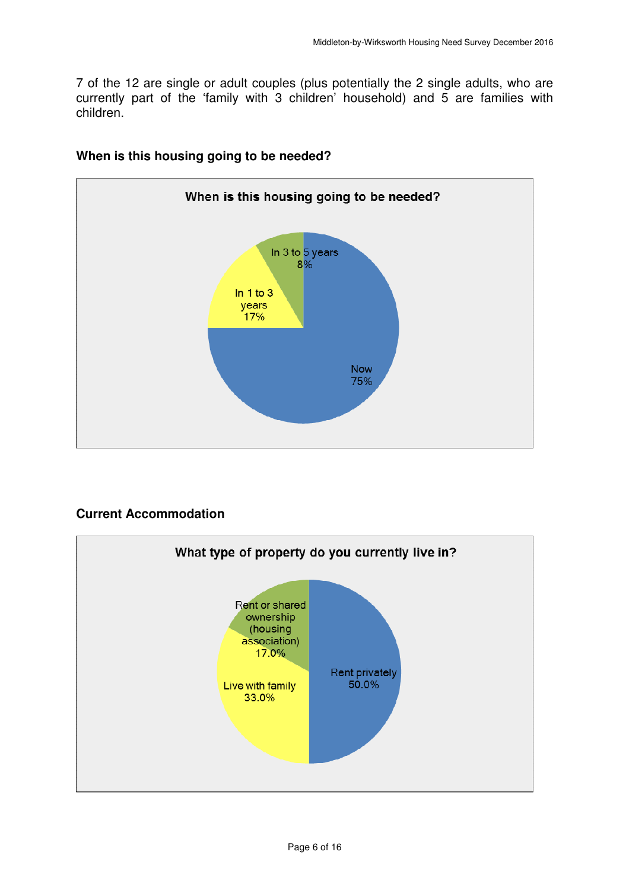7 of the 12 are single or adult couples (plus potentially the 2 single adults, who are currently part of the 'family with 3 children' household) and 5 are families with children.



# **When is this housing going to be needed?**

# **Current Accommodation**

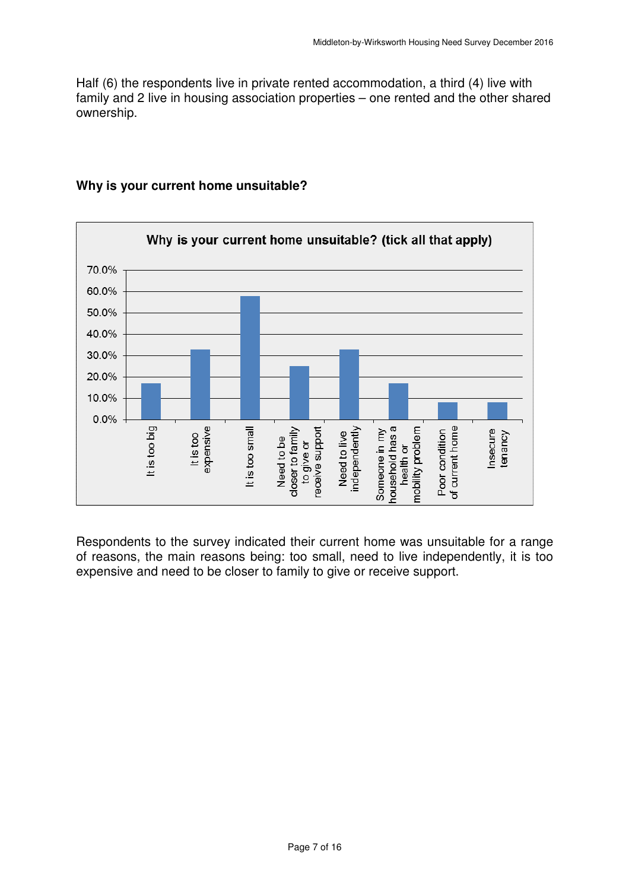Half (6) the respondents live in private rented accommodation, a third (4) live with family and 2 live in housing association properties – one rented and the other shared ownership.



# **Why is your current home unsuitable?**

 Respondents to the survey indicated their current home was unsuitable for a range of reasons, the main reasons being: too small, need to live independently, it is too expensive and need to be closer to family to give or receive support.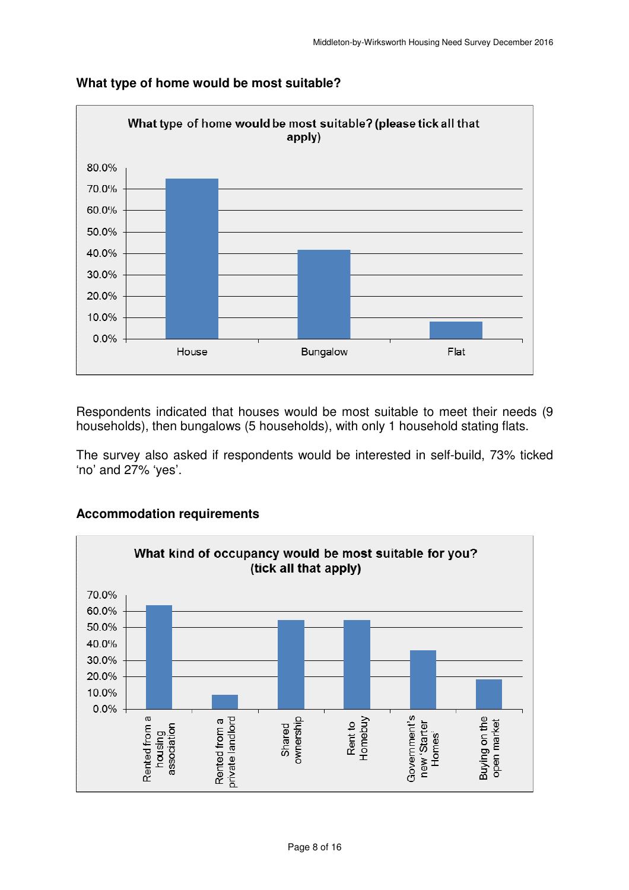

# **What type of home would be most suitable?**

 Respondents indicated that houses would be most suitable to meet their needs (9 households), then bungalows (5 households), with only 1 household stating flats.

 The survey also asked if respondents would be interested in self-build, 73% ticked 'no' and 27% 'yes'.



#### **Accommodation requirements**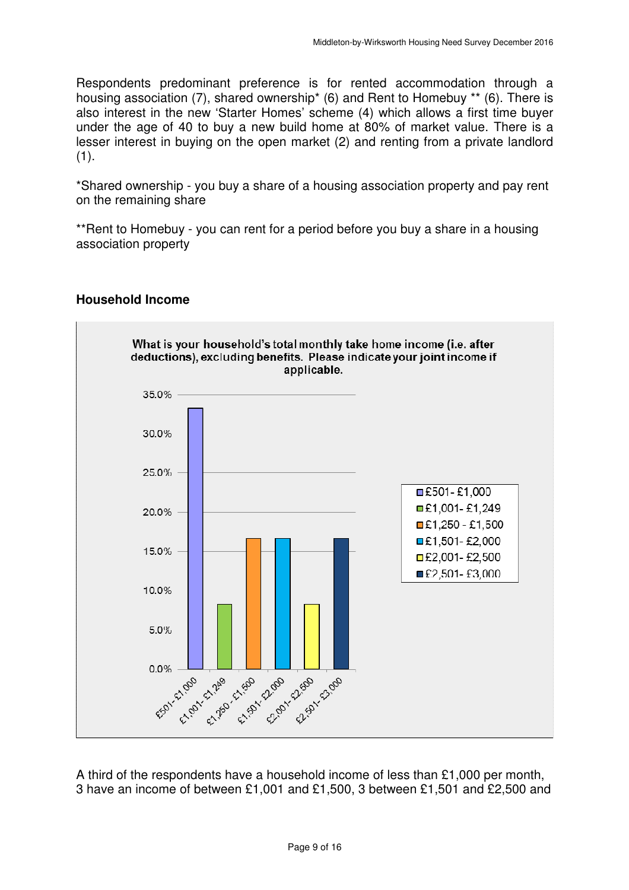Respondents predominant preference is for rented accommodation through a housing association (7), shared ownership\* (6) and Rent to Homebuy \*\* (6). There is also interest in the new 'Starter Homes' scheme (4) which allows a first time buyer under the age of 40 to buy a new build home at 80% of market value. There is a lesser interest in buying on the open market (2) and renting from a private landlord  $(1).$ 

(1).<br>\*Shared ownership - you buy a share of a housing association property and pay rent on the remaining share

 \*\*Rent to Homebuy - you can rent for a period before you buy a share in a housing association property



#### **Household Income**

 A third of the respondents have a household income of less than £1,000 per month, 3 have an income of between £1,001 and £1,500, 3 between £1,501 and £2,500 and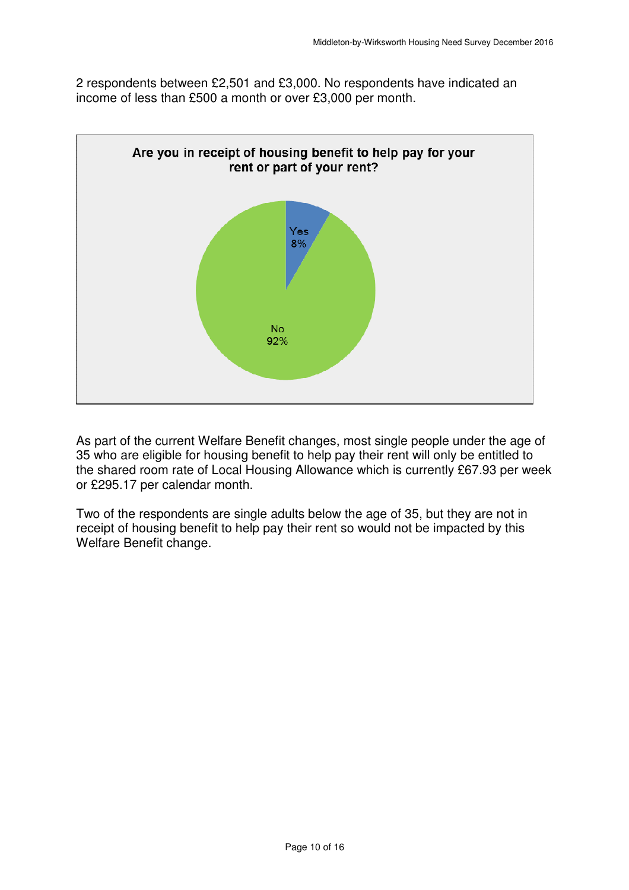2 respondents between £2,501 and £3,000. No respondents have indicated an income of less than £500 a month or over £3,000 per month.



 As part of the current Welfare Benefit changes, most single people under the age of 35 who are eligible for housing benefit to help pay their rent will only be entitled to the shared room rate of Local Housing Allowance which is currently £67.93 per week or £295.17 per calendar month.

 Two of the respondents are single adults below the age of 35, but they are not in receipt of housing benefit to help pay their rent so would not be impacted by this Welfare Benefit change.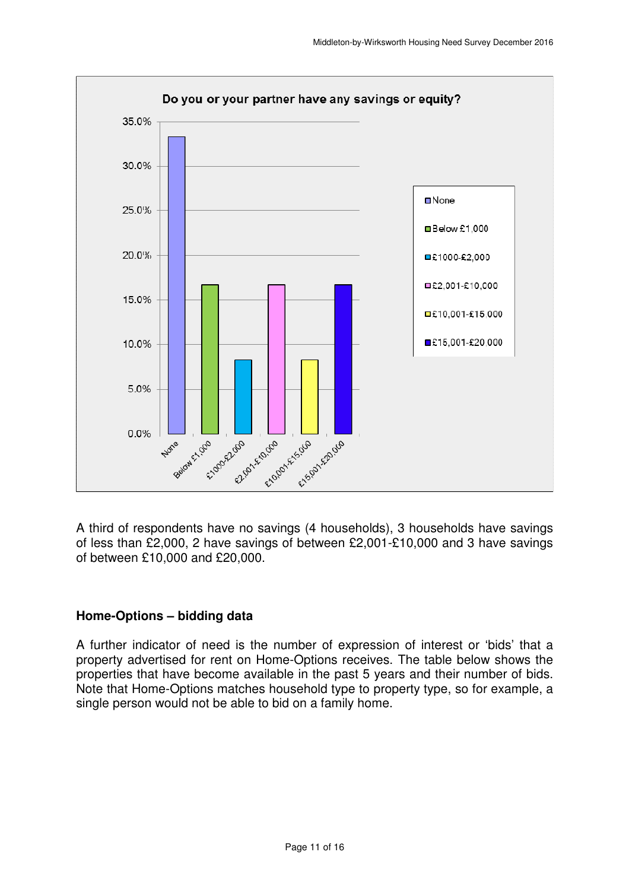

 A third of respondents have no savings (4 households), 3 households have savings of less than £2,000, 2 have savings of between £2,001-£10,000 and 3 have savings of between £10,000 and £20,000.

# **Home-Options – bidding data**

 A further indicator of need is the number of expression of interest or 'bids' that a property advertised for rent on Home-Options receives. The table below shows the properties that have become available in the past 5 years and their number of bids. Note that Home-Options matches household type to property type, so for example, a single person would not be able to bid on a family home.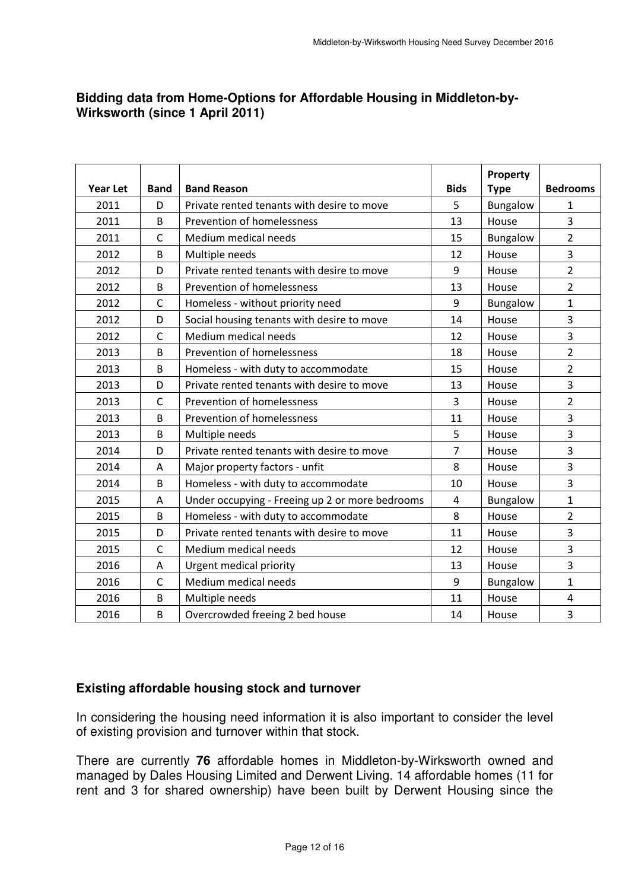# **Bidding data from Home-Options for Affordable Housing in Middleton-by- Wirksworth (since 1 April 2011)**

| <b>Year Let</b> | <b>Band</b>  | <b>Band Reason</b>                              | <b>Bids</b>    | Property<br><b>Type</b> | <b>Bedrooms</b>         |
|-----------------|--------------|-------------------------------------------------|----------------|-------------------------|-------------------------|
| 2011            | D            | Private rented tenants with desire to move      | 5              | Bungalow                | $\mathbf{1}$            |
| 2011            | B            | Prevention of homelessness                      | 13             | House                   | 3                       |
| 2011            | $\mathsf{C}$ | Medium medical needs                            | 15             | Bungalow                | $\overline{2}$          |
| 2012            | $\mathsf B$  | Multiple needs                                  | 12             | House                   | 3                       |
| 2012            | D            | Private rented tenants with desire to move      | 9              | House                   | $\overline{2}$          |
| 2012            | $\mathsf B$  | Prevention of homelessness                      | 13             | House                   | $\overline{2}$          |
| 2012            | $\mathsf{C}$ | Homeless - without priority need                | 9              | Bungalow                | $\mathbf{1}$            |
| 2012            | D            | Social housing tenants with desire to move      | 14             | House                   | 3                       |
| 2012            | $\mathsf{C}$ | Medium medical needs                            | 12             | House                   | $\overline{\mathbf{3}}$ |
| 2013            | B            | Prevention of homelessness                      | 18             | House                   | $\overline{2}$          |
| 2013            | B            | Homeless - with duty to accommodate             | 15             | House                   | $\overline{2}$          |
| 2013            | D            | Private rented tenants with desire to move      | 13             | House                   | 3                       |
| 2013            | $\mathsf{C}$ | Prevention of homelessness                      | 3              | House                   | $\overline{2}$          |
| 2013            | B            | Prevention of homelessness                      | 11             | House                   | $\overline{3}$          |
| 2013            | B            | Multiple needs                                  | 5              | House                   | $\overline{3}$          |
| 2014            | D            | Private rented tenants with desire to move      | $\overline{7}$ | House                   | 3                       |
| 2014            | A            | Major property factors - unfit                  | 8              | House                   | $\overline{\mathbf{3}}$ |
| 2014            | B            | Homeless - with duty to accommodate             | 10             | House                   | 3                       |
| 2015            | A            | Under occupying - Freeing up 2 or more bedrooms | $\overline{4}$ | Bungalow                | $\mathbf{1}$            |
| 2015            | B            | Homeless - with duty to accommodate             | 8              | House                   | $\overline{2}$          |
| 2015            | D            | Private rented tenants with desire to move      | 11             | House                   | $\overline{3}$          |
| 2015            | $\mathsf C$  | Medium medical needs                            | 12             | House                   | 3                       |
| 2016            | A            | Urgent medical priority                         | 13             | House                   | $\overline{3}$          |
| 2016            | $\mathsf{C}$ | Medium medical needs                            | 9              | Bungalow                | $\mathbf{1}$            |
| 2016            | B            | Multiple needs                                  | 11             | House                   | $\overline{4}$          |
| 2016            | B            | Overcrowded freeing 2 bed house                 | 14             | House                   | 3                       |

# **Existing affordable housing stock and turnover**

 In considering the housing need information it is also important to consider the level of existing provision and turnover within that stock.

 There are currently **76** affordable homes in Middleton-by-Wirksworth owned and managed by Dales Housing Limited and Derwent Living. 14 affordable homes (11 for rent and 3 for shared ownership) have been built by Derwent Housing since the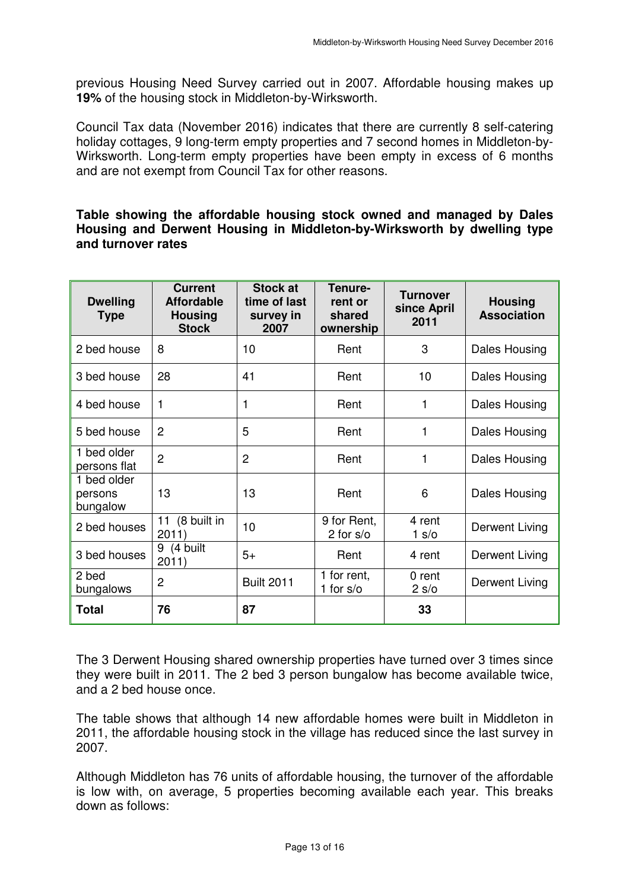previous Housing Need Survey carried out in 2007. Affordable housing makes up **19%** of the housing stock in Middleton-by-Wirksworth.

 Council Tax data (November 2016) indicates that there are currently 8 self-catering holiday cottages, 9 long-term empty properties and 7 second homes in Middleton-by- Wirksworth. Long-term empty properties have been empty in excess of 6 months and are not exempt from Council Tax for other reasons.

#### **Table showing the affordable housing stock owned and managed by Dales Housing and Derwent Housing in Middleton-by-Wirksworth by dwelling type and turnover rates**

| <b>Dwelling</b><br><b>Type</b>     | <b>Current</b><br><b>Affordable</b><br><b>Housing</b><br><b>Stock</b> | Stock at<br>time of last<br>survey in<br>2007 | Tenure-<br>rent or<br>shared<br>ownership | <b>Turnover</b><br>since April<br>2011 | <b>Housing</b><br><b>Association</b> |
|------------------------------------|-----------------------------------------------------------------------|-----------------------------------------------|-------------------------------------------|----------------------------------------|--------------------------------------|
| 2 bed house                        | 8                                                                     | 10                                            | Rent                                      | 3                                      | Dales Housing                        |
| 3 bed house                        | 28                                                                    | 41                                            | Rent                                      | 10                                     | Dales Housing                        |
| 4 bed house                        | 1                                                                     | 1                                             | Rent                                      | 1                                      | Dales Housing                        |
| 5 bed house                        | $\overline{2}$                                                        | 5                                             | Rent                                      | 1                                      | Dales Housing                        |
| 1 bed older<br>persons flat        | $\overline{2}$                                                        | $\overline{2}$                                | Rent                                      | 1                                      | Dales Housing                        |
| 1 bed older<br>persons<br>bungalow | 13                                                                    | 13                                            | Rent                                      | 6                                      | Dales Housing                        |
| 2 bed houses                       | (8 built in<br>11<br>2011)                                            | 10                                            | 9 for Rent,<br>2 for $s$ /o               | 4 rent<br>1 s/o                        | Derwent Living                       |
| 3 bed houses                       | 9<br>(4 built<br>2011)                                                | $5+$                                          | Rent                                      | 4 rent                                 | Derwent Living                       |
| 2 bed<br>bungalows                 | $\overline{2}$                                                        | <b>Built 2011</b>                             | 1 for rent,<br>1 for $s$ /o               | 0 rent<br>2 s/o                        | Derwent Living                       |
| <b>Total</b>                       | 76                                                                    | 87                                            |                                           | 33                                     |                                      |

 The 3 Derwent Housing shared ownership properties have turned over 3 times since they were built in 2011. The 2 bed 3 person bungalow has become available twice, and a 2 bed house once.

 The table shows that although 14 new affordable homes were built in Middleton in 2011, the affordable housing stock in the village has reduced since the last survey in 2007.

2007.<br>Although Middleton has 76 units of affordable housing, the turnover of the affordable is low with, on average, 5 properties becoming available each year. This breaks down as follows: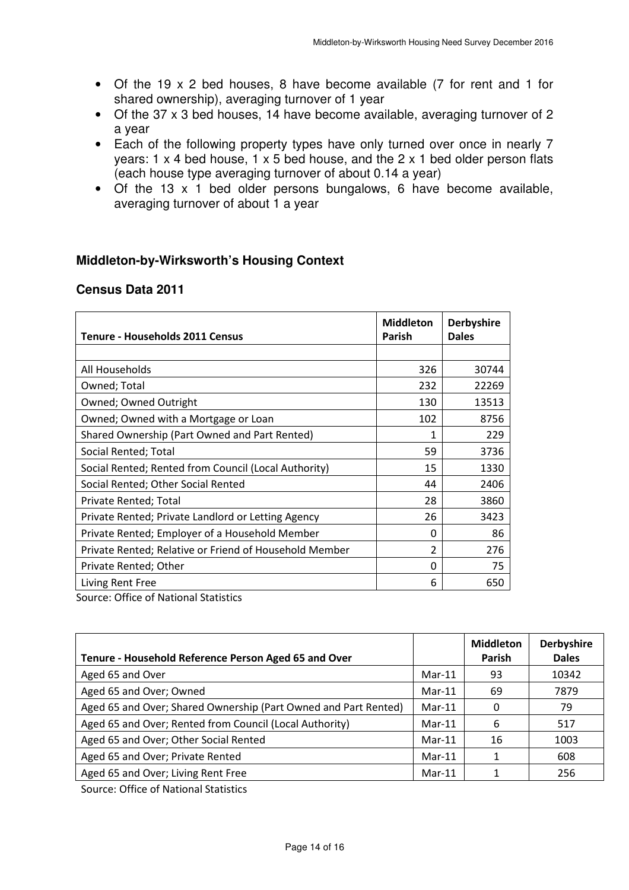- • Of the 19 x 2 bed houses, 8 have become available (7 for rent and 1 for shared ownership), averaging turnover of 1 year
- • Of the 37 x 3 bed houses, 14 have become available, averaging turnover of 2 a year
- • Each of the following property types have only turned over once in nearly 7 years: 1 x 4 bed house, 1 x 5 bed house, and the 2 x 1 bed older person flats (each house type averaging turnover of about 0.14 a year)
- • Of the 13 x 1 bed older persons bungalows, 6 have become available, averaging turnover of about 1 a year

# **Middleton-by-Wirksworth's Housing Context**

### **Census Data 2011**

| <b>Tenure - Households 2011 Census</b>                                                                                                                                                                                                                                                                                            | <b>Middleton</b><br><b>Parish</b> | <b>Derbyshire</b><br><b>Dales</b> |
|-----------------------------------------------------------------------------------------------------------------------------------------------------------------------------------------------------------------------------------------------------------------------------------------------------------------------------------|-----------------------------------|-----------------------------------|
|                                                                                                                                                                                                                                                                                                                                   |                                   |                                   |
| All Households                                                                                                                                                                                                                                                                                                                    | 326                               | 30744                             |
| Owned; Total                                                                                                                                                                                                                                                                                                                      | 232                               | 22269                             |
| Owned; Owned Outright                                                                                                                                                                                                                                                                                                             | 130                               | 13513                             |
| Owned; Owned with a Mortgage or Loan                                                                                                                                                                                                                                                                                              | 102                               | 8756                              |
| Shared Ownership (Part Owned and Part Rented)                                                                                                                                                                                                                                                                                     | 1                                 | 229                               |
| Social Rented; Total                                                                                                                                                                                                                                                                                                              | 59                                | 3736                              |
| Social Rented; Rented from Council (Local Authority)                                                                                                                                                                                                                                                                              | 15                                | 1330                              |
| Social Rented; Other Social Rented                                                                                                                                                                                                                                                                                                | 44                                | 2406                              |
| Private Rented; Total                                                                                                                                                                                                                                                                                                             | 28                                | 3860                              |
| Private Rented; Private Landlord or Letting Agency                                                                                                                                                                                                                                                                                | 26                                | 3423                              |
| Private Rented; Employer of a Household Member                                                                                                                                                                                                                                                                                    | $\Omega$                          | 86                                |
| Private Rented; Relative or Friend of Household Member                                                                                                                                                                                                                                                                            | 2                                 | 276                               |
| Private Rented; Other                                                                                                                                                                                                                                                                                                             | $\Omega$                          | 75                                |
| Living Rent Free<br>$C_{\text{c}}$ and $C_{\text{c}}$ and $C_{\text{c}}$ are $C_{\text{c}}$ and $C_{\text{c}}$ and $C_{\text{c}}$ and $C_{\text{c}}$ and $C_{\text{c}}$ and $C_{\text{c}}$ and $C_{\text{c}}$ and $C_{\text{c}}$ and $C_{\text{c}}$ and $C_{\text{c}}$ and $C_{\text{c}}$ and $C_{\text{c}}$ and $C_{\text{c}}$ a | 6                                 | 650                               |

Source: Office of National Statistics

| Tenure - Household Reference Person Aged 65 and Over            |          | <b>Middleton</b><br>Parish | <b>Derbyshire</b><br><b>Dales</b> |
|-----------------------------------------------------------------|----------|----------------------------|-----------------------------------|
| Aged 65 and Over                                                | $Mar-11$ | 93                         | 10342                             |
| Aged 65 and Over; Owned                                         | $Mar-11$ | 69                         | 7879                              |
| Aged 65 and Over; Shared Ownership (Part Owned and Part Rented) | $Mar-11$ | 0                          | 79                                |
| Aged 65 and Over; Rented from Council (Local Authority)         | $Mar-11$ | 6                          | 517                               |
| Aged 65 and Over; Other Social Rented                           | $Mar-11$ | 16                         | 1003                              |
| Aged 65 and Over; Private Rented                                | $Mar-11$ |                            | 608                               |
| Aged 65 and Over; Living Rent Free                              | $Mar-11$ |                            | 256                               |

Source: Office of National Statistics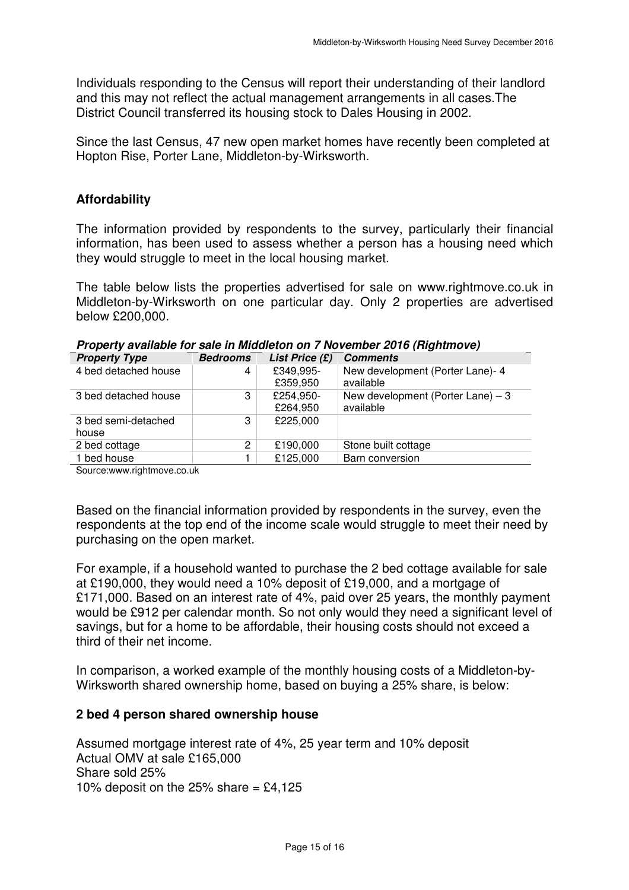Individuals responding to the Census will report their understanding of their landlord and this may not reflect the actual management arrangements in all cases.The District Council transferred its housing stock to Dales Housing in 2002.

 Since the last Census, 47 new open market homes have recently been completed at Hopton Rise, Porter Lane, Middleton-by-Wirksworth.

### **Affordability**

 The information provided by respondents to the survey, particularly their financial information, has been used to assess whether a person has a housing need which they would struggle to meet in the local housing market.

 The table below lists the properties advertised for sale on <www.rightmove.co.uk> in Middleton-by-Wirksworth on one particular day. Only 2 properties are advertised below £200,000.

| New development (Porter Lane) $-3$ |
|------------------------------------|
|                                    |
|                                    |
|                                    |
|                                    |
|                                    |
| New development (Porter Lane)- 4   |

 **Property available for sale in Middleton on 7 November 2016 (Rightmove)** 

[Source:www.rightmove.co.uk](https://Source:www.rightmove.co.uk)

 Based on the financial information provided by respondents in the survey, even the respondents at the top end of the income scale would struggle to meet their need by purchasing on the open market.

 For example, if a household wanted to purchase the 2 bed cottage available for sale at £190,000, they would need a 10% deposit of £19,000, and a mortgage of £171,000. Based on an interest rate of 4%, paid over 25 years, the monthly payment would be £912 per calendar month. So not only would they need a significant level of savings, but for a home to be affordable, their housing costs should not exceed a third of their net income.

 In comparison, a worked example of the monthly housing costs of a Middleton-by-Wirksworth shared ownership home, based on buying a 25% share, is below:

#### **2 bed 4 person shared ownership house**

 Assumed mortgage interest rate of 4%, 25 year term and 10% deposit Actual OMV at sale £165,000 Share sold 25% 10% deposit on the 25% share  $= \text{\pounds}4,125$